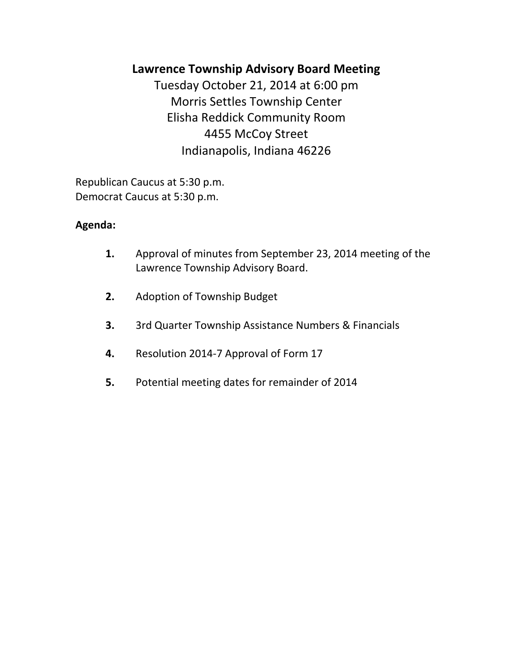# **Lawrence Township Advisory Board Meeting**

Tuesday October 21, 2014 at 6:00 pm Morris Settles Township Center Elisha Reddick Community Room 4455 McCoy Street Indianapolis, Indiana 46226

Republican Caucus at 5:30 p.m. Democrat Caucus at 5:30 p.m.

## **Agenda:**

- **1.** Approval of minutes from September 23, 2014 meeting of the Lawrence Township Advisory Board.
- **2.** Adoption of Township Budget
- **3.** 3rd Quarter Township Assistance Numbers & Financials
- **4.** Resolution 2014-7 Approval of Form 17
- **5.** Potential meeting dates for remainder of 2014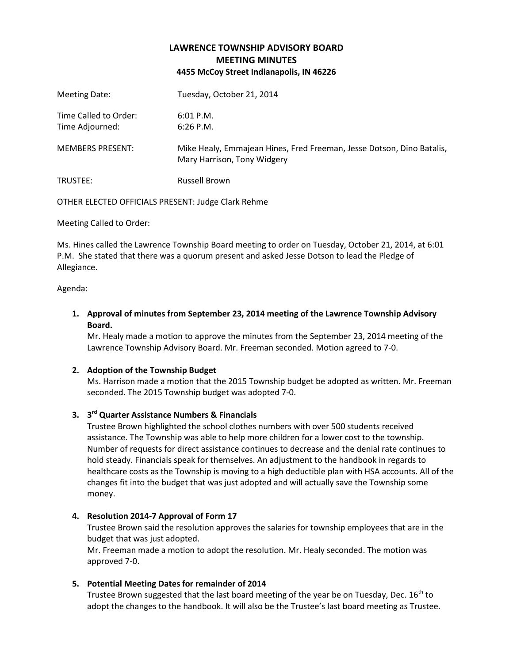### **LAWRENCE TOWNSHIP ADVISORY BOARD MEETING MINUTES 4455 McCoy Street Indianapolis, IN 46226**

| Meeting Date:                            | Tuesday, October 21, 2014                                                                            |
|------------------------------------------|------------------------------------------------------------------------------------------------------|
| Time Called to Order:<br>Time Adjourned: | $6:01$ P.M.<br>$6:26$ P.M.                                                                           |
| <b>MEMBERS PRESENT:</b>                  | Mike Healy, Emmajean Hines, Fred Freeman, Jesse Dotson, Dino Batalis,<br>Mary Harrison, Tony Widgery |
| TRUSTEE:                                 | <b>Russell Brown</b>                                                                                 |

OTHER ELECTED OFFICIALS PRESENT: Judge Clark Rehme

Meeting Called to Order:

Ms. Hines called the Lawrence Township Board meeting to order on Tuesday, October 21, 2014, at 6:01 P.M. She stated that there was a quorum present and asked Jesse Dotson to lead the Pledge of Allegiance.

Agenda:

**1. Approval of minutes from September 23, 2014 meeting of the Lawrence Township Advisory Board.**

Mr. Healy made a motion to approve the minutes from the September 23, 2014 meeting of the Lawrence Township Advisory Board. Mr. Freeman seconded. Motion agreed to 7-0.

#### **2. Adoption of the Township Budget**

Ms. Harrison made a motion that the 2015 Township budget be adopted as written. Mr. Freeman seconded. The 2015 Township budget was adopted 7-0.

#### **3. 3 rd Quarter Assistance Numbers & Financials**

Trustee Brown highlighted the school clothes numbers with over 500 students received assistance. The Township was able to help more children for a lower cost to the township. Number of requests for direct assistance continues to decrease and the denial rate continues to hold steady. Financials speak for themselves. An adjustment to the handbook in regards to healthcare costs as the Township is moving to a high deductible plan with HSA accounts. All of the changes fit into the budget that was just adopted and will actually save the Township some money.

#### **4. Resolution 2014-7 Approval of Form 17**

Trustee Brown said the resolution approves the salaries for township employees that are in the budget that was just adopted.

Mr. Freeman made a motion to adopt the resolution. Mr. Healy seconded. The motion was approved 7-0.

#### **5. Potential Meeting Dates for remainder of 2014**

Trustee Brown suggested that the last board meeting of the year be on Tuesday, Dec.  $16<sup>th</sup>$  to adopt the changes to the handbook. It will also be the Trustee's last board meeting as Trustee.